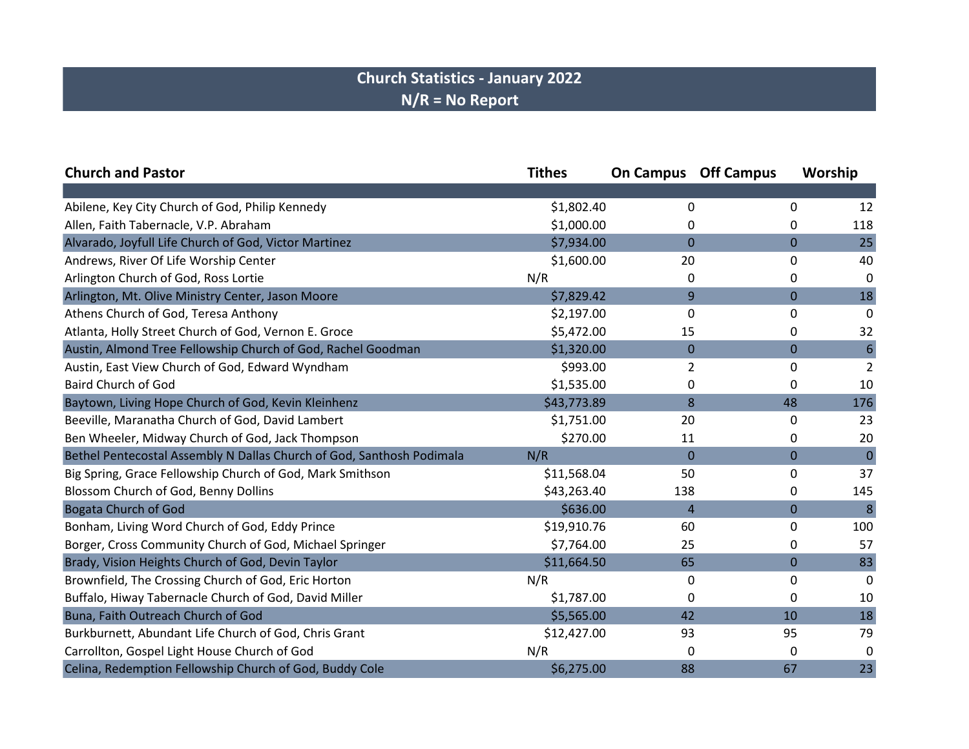## **Church Statistics - January 2022 N/R = No Report**

| <b>Church and Pastor</b>                                              | <b>Tithes</b> | <b>On Campus</b> Off Campus |                  | Worship          |
|-----------------------------------------------------------------------|---------------|-----------------------------|------------------|------------------|
|                                                                       |               |                             |                  |                  |
| Abilene, Key City Church of God, Philip Kennedy                       | \$1,802.40    | 0                           | 0                | 12               |
| Allen, Faith Tabernacle, V.P. Abraham                                 | \$1,000.00    | 0                           | 0                | 118              |
| Alvarado, Joyfull Life Church of God, Victor Martinez                 | \$7,934.00    | $\overline{0}$              | $\mathbf 0$      | 25               |
| Andrews, River Of Life Worship Center                                 | \$1,600.00    | 20                          | 0                | 40               |
| Arlington Church of God, Ross Lortie                                  | N/R           | 0                           | 0                | $\mathbf{0}$     |
| Arlington, Mt. Olive Ministry Center, Jason Moore                     | \$7,829.42    | 9                           | $\mathbf{0}$     | $18\,$           |
| Athens Church of God, Teresa Anthony                                  | \$2,197.00    | 0                           | 0                | 0                |
| Atlanta, Holly Street Church of God, Vernon E. Groce                  | \$5,472.00    | 15                          | 0                | 32               |
| Austin, Almond Tree Fellowship Church of God, Rachel Goodman          | \$1,320.00    | 0                           | $\mathbf 0$      | $\boldsymbol{6}$ |
| Austin, East View Church of God, Edward Wyndham                       | \$993.00      | 2                           | 0                | $\overline{2}$   |
| <b>Baird Church of God</b>                                            | \$1,535.00    | 0                           | 0                | 10               |
| Baytown, Living Hope Church of God, Kevin Kleinhenz                   | \$43,773.89   | 8                           | 48               | 176              |
| Beeville, Maranatha Church of God, David Lambert                      | \$1,751.00    | 20                          | 0                | 23               |
| Ben Wheeler, Midway Church of God, Jack Thompson                      | \$270.00      | 11                          | 0                | 20               |
| Bethel Pentecostal Assembly N Dallas Church of God, Santhosh Podimala | N/R           | $\Omega$                    | $\mathbf 0$      | $\overline{0}$   |
| Big Spring, Grace Fellowship Church of God, Mark Smithson             | \$11,568.04   | 50                          | 0                | 37               |
| Blossom Church of God, Benny Dollins                                  | \$43,263.40   | 138                         | 0                | 145              |
| <b>Bogata Church of God</b>                                           | \$636.00      | $\overline{4}$              | $\mathbf 0$      | $\boldsymbol{8}$ |
| Bonham, Living Word Church of God, Eddy Prince                        | \$19,910.76   | 60                          | 0                | 100              |
| Borger, Cross Community Church of God, Michael Springer               | \$7,764.00    | 25                          | 0                | 57               |
| Brady, Vision Heights Church of God, Devin Taylor                     | \$11,664.50   | 65                          | $\boldsymbol{0}$ | 83               |
| Brownfield, The Crossing Church of God, Eric Horton                   | N/R           | 0                           | 0                | $\mathbf{0}$     |
| Buffalo, Hiway Tabernacle Church of God, David Miller                 | \$1,787.00    | 0                           | 0                | 10               |
| Buna, Faith Outreach Church of God                                    | \$5,565.00    | 42                          | 10               | 18               |
| Burkburnett, Abundant Life Church of God, Chris Grant                 | \$12,427.00   | 93                          | 95               | 79               |
| Carrollton, Gospel Light House Church of God                          | N/R           | 0                           | 0                | $\Omega$         |
| Celina, Redemption Fellowship Church of God, Buddy Cole               | \$6,275.00    | 88                          | 67               | 23               |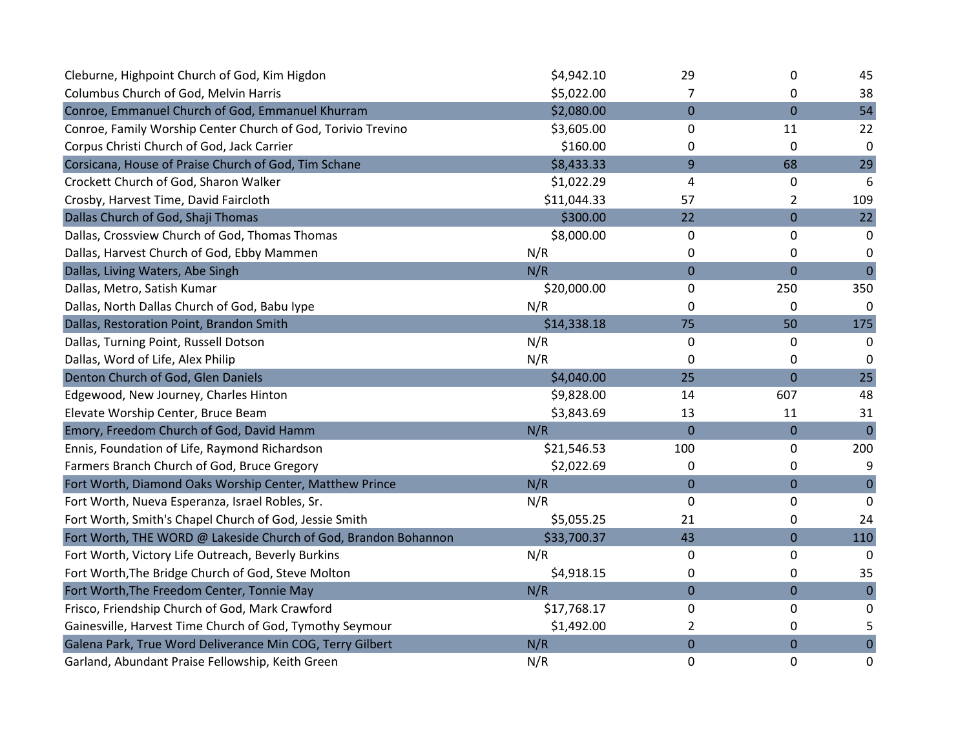| Cleburne, Highpoint Church of God, Kim Higdon                   | \$4,942.10  | 29             | 0              | 45             |
|-----------------------------------------------------------------|-------------|----------------|----------------|----------------|
| Columbus Church of God, Melvin Harris                           | \$5,022.00  | 7              | 0              | 38             |
| Conroe, Emmanuel Church of God, Emmanuel Khurram                | \$2,080.00  | $\overline{0}$ | $\mathbf 0$    | 54             |
| Conroe, Family Worship Center Church of God, Torivio Trevino    | \$3,605.00  | 0              | 11             | 22             |
| Corpus Christi Church of God, Jack Carrier                      | \$160.00    | 0              | 0              | $\mathbf 0$    |
| Corsicana, House of Praise Church of God, Tim Schane            | \$8,433.33  | 9              | 68             | 29             |
| Crockett Church of God, Sharon Walker                           | \$1,022.29  | 4              | 0              | 6              |
| Crosby, Harvest Time, David Faircloth                           | \$11,044.33 | 57             | $\overline{2}$ | 109            |
| Dallas Church of God, Shaji Thomas                              | \$300.00    | 22             | $\overline{0}$ | 22             |
| Dallas, Crossview Church of God, Thomas Thomas                  | \$8,000.00  | 0              | 0              | 0              |
| Dallas, Harvest Church of God, Ebby Mammen                      | N/R         | 0              | 0              | $\mathbf 0$    |
| Dallas, Living Waters, Abe Singh                                | N/R         | $\mathbf 0$    | $\mathbf 0$    | $\overline{0}$ |
| Dallas, Metro, Satish Kumar                                     | \$20,000.00 | $\mathbf 0$    | 250            | 350            |
| Dallas, North Dallas Church of God, Babu Iype                   | N/R         | 0              | 0              | 0              |
| Dallas, Restoration Point, Brandon Smith                        | \$14,338.18 | 75             | 50             | 175            |
| Dallas, Turning Point, Russell Dotson                           | N/R         | 0              | 0              | 0              |
| Dallas, Word of Life, Alex Philip                               | N/R         | 0              | $\mathbf{0}$   | $\mathbf{0}$   |
| Denton Church of God, Glen Daniels                              | \$4,040.00  | 25             | $\overline{0}$ | 25             |
| Edgewood, New Journey, Charles Hinton                           | \$9,828.00  | 14             | 607            | 48             |
| Elevate Worship Center, Bruce Beam                              | \$3,843.69  | 13             | 11             | 31             |
| Emory, Freedom Church of God, David Hamm                        | N/R         | $\overline{0}$ | $\mathbf 0$    | $\mathbf{0}$   |
| Ennis, Foundation of Life, Raymond Richardson                   | \$21,546.53 | 100            | 0              | 200            |
| Farmers Branch Church of God, Bruce Gregory                     | \$2,022.69  | 0              | 0              | 9              |
| Fort Worth, Diamond Oaks Worship Center, Matthew Prince         | N/R         | $\mathbf 0$    | $\overline{0}$ | $\pmb{0}$      |
| Fort Worth, Nueva Esperanza, Israel Robles, Sr.                 | N/R         | $\mathbf 0$    | 0              | $\overline{0}$ |
| Fort Worth, Smith's Chapel Church of God, Jessie Smith          | \$5,055.25  | 21             | 0              | 24             |
| Fort Worth, THE WORD @ Lakeside Church of God, Brandon Bohannon | \$33,700.37 | 43             | $\pmb{0}$      | 110            |
| Fort Worth, Victory Life Outreach, Beverly Burkins              | N/R         | 0              | 0              | 0              |
| Fort Worth, The Bridge Church of God, Steve Molton              | \$4,918.15  | 0              | 0              | 35             |
| Fort Worth, The Freedom Center, Tonnie May                      | N/R         | $\overline{0}$ | $\overline{0}$ | $\overline{0}$ |
| Frisco, Friendship Church of God, Mark Crawford                 | \$17,768.17 | 0              | 0              | 0              |
| Gainesville, Harvest Time Church of God, Tymothy Seymour        | \$1,492.00  | 2              | 0              | 5              |
| Galena Park, True Word Deliverance Min COG, Terry Gilbert       | N/R         | $\overline{0}$ | $\overline{0}$ | $\pmb{0}$      |
| Garland, Abundant Praise Fellowship, Keith Green                | N/R         | 0              | 0              | 0              |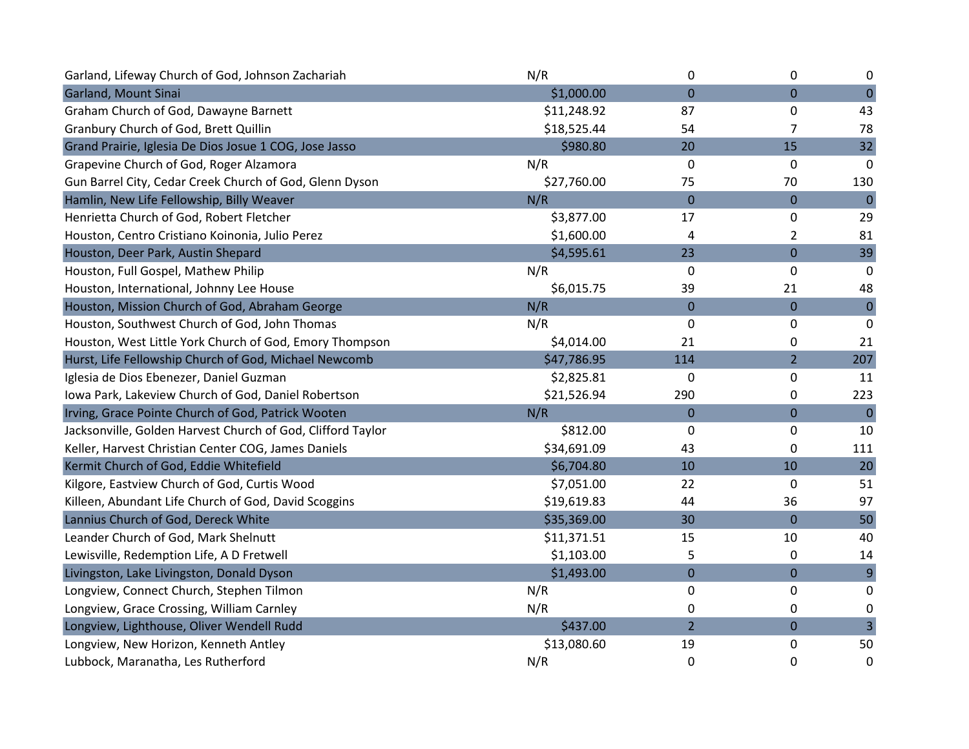| Garland, Lifeway Church of God, Johnson Zachariah           | N/R         | $\pmb{0}$      | $\mathbf 0$      | $\pmb{0}$        |
|-------------------------------------------------------------|-------------|----------------|------------------|------------------|
| Garland, Mount Sinai                                        | \$1,000.00  | $\mathbf 0$    | $\boldsymbol{0}$ | $\overline{0}$   |
| Graham Church of God, Dawayne Barnett                       | \$11,248.92 | 87             | $\mathbf{0}$     | 43               |
| Granbury Church of God, Brett Quillin                       | \$18,525.44 | 54             | $\overline{7}$   | 78               |
| Grand Prairie, Iglesia De Dios Josue 1 COG, Jose Jasso      | \$980.80    | 20             | 15               | 32               |
| Grapevine Church of God, Roger Alzamora                     | N/R         | 0              | 0                | 0                |
| Gun Barrel City, Cedar Creek Church of God, Glenn Dyson     | \$27,760.00 | 75             | 70               | 130              |
| Hamlin, New Life Fellowship, Billy Weaver                   | N/R         | $\overline{0}$ | $\pmb{0}$        | $\overline{0}$   |
| Henrietta Church of God, Robert Fletcher                    | \$3,877.00  | 17             | 0                | 29               |
| Houston, Centro Cristiano Koinonia, Julio Perez             | \$1,600.00  | 4              | $\overline{2}$   | 81               |
| Houston, Deer Park, Austin Shepard                          | \$4,595.61  | 23             | $\overline{0}$   | 39               |
| Houston, Full Gospel, Mathew Philip                         | N/R         | 0              | 0                | $\mathbf{0}$     |
| Houston, International, Johnny Lee House                    | \$6,015.75  | 39             | 21               | 48               |
| Houston, Mission Church of God, Abraham George              | N/R         | $\overline{0}$ | $\mathbf 0$      | $\mathbf 0$      |
| Houston, Southwest Church of God, John Thomas               | N/R         | $\mathbf 0$    | 0                | $\overline{0}$   |
| Houston, West Little York Church of God, Emory Thompson     | \$4,014.00  | 21             | 0                | 21               |
| Hurst, Life Fellowship Church of God, Michael Newcomb       | \$47,786.95 | 114            | $\overline{2}$   | 207              |
| Iglesia de Dios Ebenezer, Daniel Guzman                     | \$2,825.81  | 0              | $\mathbf 0$      | 11               |
| Iowa Park, Lakeview Church of God, Daniel Robertson         | \$21,526.94 | 290            | 0                | 223              |
| Irving, Grace Pointe Church of God, Patrick Wooten          | N/R         | 0              | $\mathbf 0$      | $\overline{0}$   |
| Jacksonville, Golden Harvest Church of God, Clifford Taylor | \$812.00    | 0              | 0                | 10               |
| Keller, Harvest Christian Center COG, James Daniels         | \$34,691.09 | 43             | 0                | 111              |
| Kermit Church of God, Eddie Whitefield                      | \$6,704.80  | 10             | 10               | 20               |
| Kilgore, Eastview Church of God, Curtis Wood                | \$7,051.00  | 22             | 0                | 51               |
| Killeen, Abundant Life Church of God, David Scoggins        | \$19,619.83 | 44             | 36               | 97               |
| Lannius Church of God, Dereck White                         | \$35,369.00 | 30             | $\mathbf 0$      | 50               |
| Leander Church of God, Mark Shelnutt                        | \$11,371.51 | 15             | 10               | 40               |
| Lewisville, Redemption Life, A D Fretwell                   | \$1,103.00  | 5              | 0                | 14               |
| Livingston, Lake Livingston, Donald Dyson                   | \$1,493.00  | $\mathbf 0$    | $\overline{0}$   | $\boldsymbol{9}$ |
| Longview, Connect Church, Stephen Tilmon                    | N/R         | 0              | 0                | 0                |
| Longview, Grace Crossing, William Carnley                   | N/R         | 0              | 0                | 0                |
| Longview, Lighthouse, Oliver Wendell Rudd                   | \$437.00    | $\overline{2}$ | $\mathbf 0$      | $\overline{3}$   |
| Longview, New Horizon, Kenneth Antley                       | \$13,080.60 | 19             | 0                | 50               |
| Lubbock, Maranatha, Les Rutherford                          | N/R         | 0              | 0                | 0                |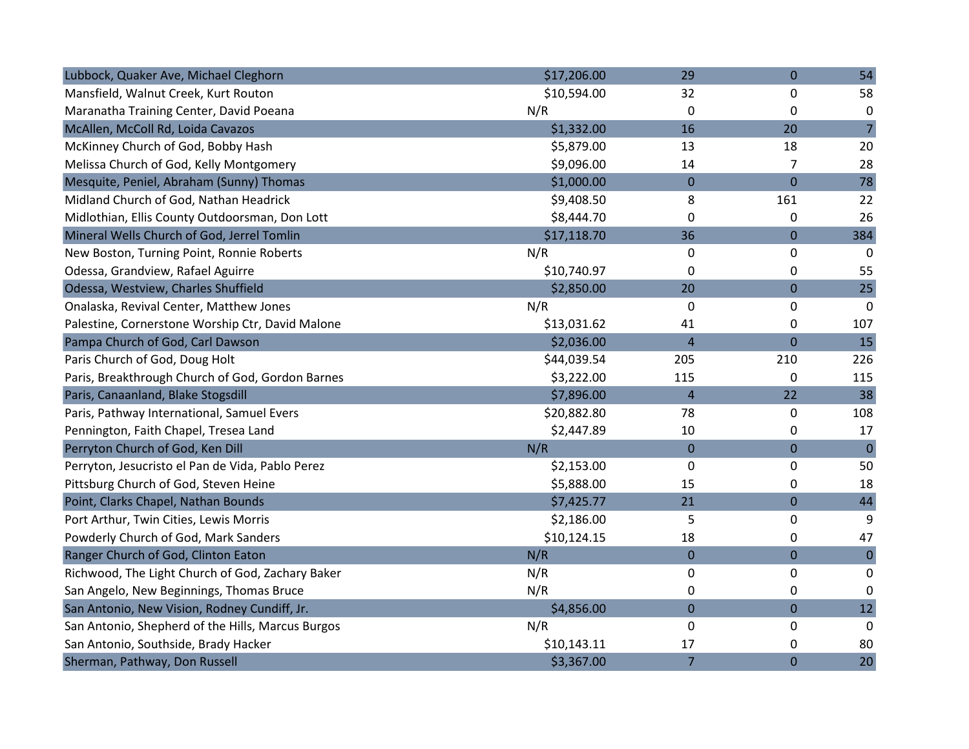| Lubbock, Quaker Ave, Michael Cleghorn             | \$17,206.00 | 29                      | $\mathbf 0$    | 54             |
|---------------------------------------------------|-------------|-------------------------|----------------|----------------|
| Mansfield, Walnut Creek, Kurt Routon              | \$10,594.00 | 32                      | 0              | 58             |
| Maranatha Training Center, David Poeana           | N/R         | 0                       | 0              | 0              |
| McAllen, McColl Rd, Loida Cavazos                 | \$1,332.00  | 16                      | 20             | $\overline{7}$ |
| McKinney Church of God, Bobby Hash                | \$5,879.00  | 13                      | 18             | 20             |
| Melissa Church of God, Kelly Montgomery           | \$9,096.00  | 14                      | 7              | 28             |
| Mesquite, Peniel, Abraham (Sunny) Thomas          | \$1,000.00  | $\boldsymbol{0}$        | 0              | 78             |
| Midland Church of God, Nathan Headrick            | \$9,408.50  | 8                       | 161            | 22             |
| Midlothian, Ellis County Outdoorsman, Don Lott    | \$8,444.70  | 0                       | 0              | 26             |
| Mineral Wells Church of God, Jerrel Tomlin        | \$17,118.70 | 36                      | $\mathbf 0$    | 384            |
| New Boston, Turning Point, Ronnie Roberts         | N/R         | 0                       | 0              | $\Omega$       |
| Odessa, Grandview, Rafael Aguirre                 | \$10,740.97 | 0                       | 0              | 55             |
| Odessa, Westview, Charles Shuffield               | \$2,850.00  | 20                      | $\mathbf 0$    | 25             |
| Onalaska, Revival Center, Matthew Jones           | N/R         | 0                       | 0              | 0              |
| Palestine, Cornerstone Worship Ctr, David Malone  | \$13,031.62 | 41                      | 0              | 107            |
| Pampa Church of God, Carl Dawson                  | \$2,036.00  | $\overline{\mathbf{r}}$ | $\overline{0}$ | 15             |
| Paris Church of God, Doug Holt                    | \$44,039.54 | 205                     | 210            | 226            |
| Paris, Breakthrough Church of God, Gordon Barnes  | \$3,222.00  | 115                     | 0              | 115            |
| Paris, Canaanland, Blake Stogsdill                | \$7,896.00  | $\overline{4}$          | 22             | 38             |
| Paris, Pathway International, Samuel Evers        | \$20,882.80 | 78                      | 0              | 108            |
| Pennington, Faith Chapel, Tresea Land             | \$2,447.89  | 10                      | 0              | 17             |
| Perryton Church of God, Ken Dill                  | N/R         | $\boldsymbol{0}$        | $\mathbf 0$    | $\overline{0}$ |
| Perryton, Jesucristo el Pan de Vida, Pablo Perez  | \$2,153.00  | 0                       | 0              | 50             |
| Pittsburg Church of God, Steven Heine             | \$5,888.00  | 15                      | 0              | 18             |
| Point, Clarks Chapel, Nathan Bounds               | \$7,425.77  | 21                      | $\pmb{0}$      | 44             |
| Port Arthur, Twin Cities, Lewis Morris            | \$2,186.00  | 5                       | 0              | 9              |
| Powderly Church of God, Mark Sanders              | \$10,124.15 | 18                      | 0              | 47             |
| Ranger Church of God, Clinton Eaton               | N/R         | $\overline{0}$          | $\overline{0}$ | $\mathbf 0$    |
| Richwood, The Light Church of God, Zachary Baker  | N/R         | 0                       | 0              | 0              |
| San Angelo, New Beginnings, Thomas Bruce          | N/R         | 0                       | 0              | 0              |
| San Antonio, New Vision, Rodney Cundiff, Jr.      | \$4,856.00  | 0                       | $\mathbf 0$    | 12             |
| San Antonio, Shepherd of the Hills, Marcus Burgos | N/R         | 0                       | 0              | 0              |
| San Antonio, Southside, Brady Hacker              | \$10,143.11 | 17                      | 0              | 80             |
| Sherman, Pathway, Don Russell                     | \$3,367.00  | $\overline{7}$          | $\mathbf 0$    | 20             |